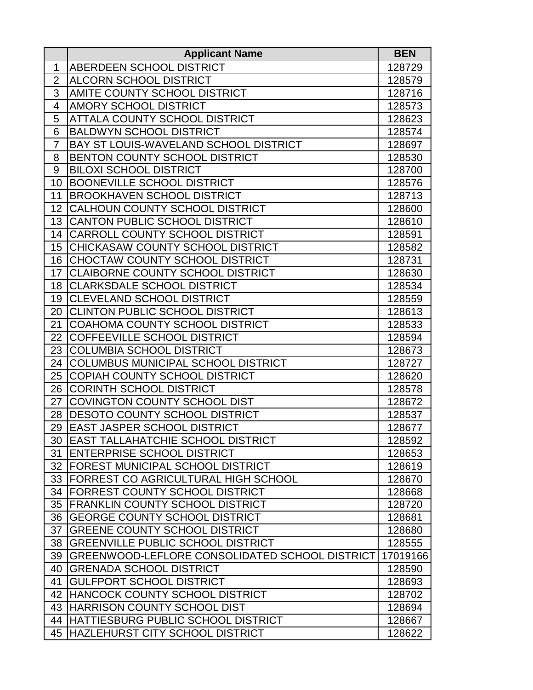|                | <b>Applicant Name</b>                          | <b>BEN</b> |
|----------------|------------------------------------------------|------------|
| 1              | ABERDEEN SCHOOL DISTRICT                       | 128729     |
| $\overline{2}$ | <b>ALCORN SCHOOL DISTRICT</b>                  | 128579     |
| 3              | AMITE COUNTY SCHOOL DISTRICT                   | 128716     |
| $\overline{4}$ | <b>AMORY SCHOOL DISTRICT</b>                   | 128573     |
| 5              | ATTALA COUNTY SCHOOL DISTRICT                  | 128623     |
| 6              | <b>BALDWYN SCHOOL DISTRICT</b>                 | 128574     |
| $\overline{7}$ | BAY ST LOUIS-WAVELAND SCHOOL DISTRICT          | 128697     |
| 8              | <b>BENTON COUNTY SCHOOL DISTRICT</b>           | 128530     |
| 9              | <b>BILOXI SCHOOL DISTRICT</b>                  | 128700     |
| 10             | <b>BOONEVILLE SCHOOL DISTRICT</b>              | 128576     |
| 11             | <b>BROOKHAVEN SCHOOL DISTRICT</b>              | 128713     |
| 12             | CALHOUN COUNTY SCHOOL DISTRICT                 | 128600     |
| 13             | <b>CANTON PUBLIC SCHOOL DISTRICT</b>           | 128610     |
| 14             | CARROLL COUNTY SCHOOL DISTRICT                 | 128591     |
| 15             | CHICKASAW COUNTY SCHOOL DISTRICT               | 128582     |
| 16             | CHOCTAW COUNTY SCHOOL DISTRICT                 | 128731     |
| 17             | <b>CLAIBORNE COUNTY SCHOOL DISTRICT</b>        | 128630     |
| 18             | <b>CLARKSDALE SCHOOL DISTRICT</b>              | 128534     |
| 19             | <b>CLEVELAND SCHOOL DISTRICT</b>               | 128559     |
| 20             | <b>CLINTON PUBLIC SCHOOL DISTRICT</b>          | 128613     |
| 21             | COAHOMA COUNTY SCHOOL DISTRICT                 | 128533     |
| 22             | COFFEEVILLE SCHOOL DISTRICT                    | 128594     |
| 23             | <b>COLUMBIA SCHOOL DISTRICT</b>                | 128673     |
| 24             | COLUMBUS MUNICIPAL SCHOOL DISTRICT             | 128727     |
| 25             | COPIAH COUNTY SCHOOL DISTRICT                  | 128620     |
| 26             | <b>CORINTH SCHOOL DISTRICT</b>                 | 128578     |
| 27             | COVINGTON COUNTY SCHOOL DIST                   | 128672     |
| 28             | <b>DESOTO COUNTY SCHOOL DISTRICT</b>           | 128537     |
| 29             | <b>EAST JASPER SCHOOL DISTRICT</b>             | 128677     |
| 30             | <b>EAST TALLAHATCHIE SCHOOL DISTRICT</b>       | 128592     |
| 31             | <b>ENTERPRISE SCHOOL DISTRICT</b>              | 128653     |
| 32             | <b>FOREST MUNICIPAL SCHOOL DISTRICT</b>        | 128619     |
| 33             | <b>FORREST CO AGRICULTURAL HIGH SCHOOL</b>     | 128670     |
| 34             | FORREST COUNTY SCHOOL DISTRICT                 | 128668     |
| 35             | <b>FRANKLIN COUNTY SCHOOL DISTRICT</b>         | 128720     |
| 36             | <b>GEORGE COUNTY SCHOOL DISTRICT</b>           | 128681     |
| 37             | <b>GREENE COUNTY SCHOOL DISTRICT</b>           | 128680     |
| 38             | <b>GREENVILLE PUBLIC SCHOOL DISTRICT</b>       | 128555     |
| 39             | GREENWOOD-LEFLORE CONSOLIDATED SCHOOL DISTRICT | 17019166   |
| 40             | <b>GRENADA SCHOOL DISTRICT</b>                 | 128590     |
| 41             | <b>GULFPORT SCHOOL DISTRICT</b>                | 128693     |
| 42             | <b>HANCOCK COUNTY SCHOOL DISTRICT</b>          | 128702     |
| 43             | HARRISON COUNTY SCHOOL DIST                    | 128694     |
| 44             | HATTIESBURG PUBLIC SCHOOL DISTRICT             | 128667     |
| 45             | HAZLEHURST CITY SCHOOL DISTRICT                | 128622     |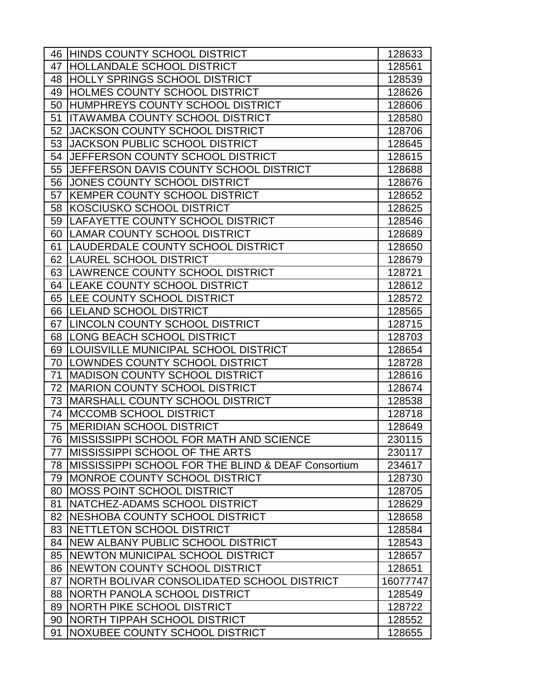| 46 | <b>HINDS COUNTY SCHOOL DISTRICT</b>                            | 128633   |
|----|----------------------------------------------------------------|----------|
| 47 | <b>HOLLANDALE SCHOOL DISTRICT</b>                              | 128561   |
| 48 | <b>HOLLY SPRINGS SCHOOL DISTRICT</b>                           | 128539   |
| 49 | HOLMES COUNTY SCHOOL DISTRICT                                  | 128626   |
| 50 | HUMPHREYS COUNTY SCHOOL DISTRICT                               | 128606   |
| 51 | <b>ITAWAMBA COUNTY SCHOOL DISTRICT</b>                         | 128580   |
| 52 | <b>JACKSON COUNTY SCHOOL DISTRICT</b>                          | 128706   |
| 53 | <b>JACKSON PUBLIC SCHOOL DISTRICT</b>                          | 128645   |
| 54 | JEFFERSON COUNTY SCHOOL DISTRICT                               | 128615   |
| 55 | <b>JJEFFERSON DAVIS COUNTY SCHOOL DISTRICT</b>                 | 128688   |
| 56 | <b>JONES COUNTY SCHOOL DISTRICT</b>                            | 128676   |
| 57 | <b>KEMPER COUNTY SCHOOL DISTRICT</b>                           | 128652   |
| 58 | KOSCIUSKO SCHOOL DISTRICT                                      | 128625   |
| 59 | LAFAYETTE COUNTY SCHOOL DISTRICT                               | 128546   |
|    | 60 LAMAR COUNTY SCHOOL DISTRICT                                | 128689   |
| 61 | ILAUDERDALE COUNTY SCHOOL DISTRICT                             | 128650   |
|    | 62   LAUREL SCHOOL DISTRICT                                    | 128679   |
|    | 63 LAWRENCE COUNTY SCHOOL DISTRICT                             | 128721   |
|    | 64   LEAKE COUNTY SCHOOL DISTRICT                              | 128612   |
|    | 65 ILEE COUNTY SCHOOL DISTRICT                                 | 128572   |
|    | 66   LELAND SCHOOL DISTRICT                                    | 128565   |
|    | 67 LINCOLN COUNTY SCHOOL DISTRICT                              | 128715   |
|    | 68   LONG BEACH SCHOOL DISTRICT                                | 128703   |
| 69 | <b>LOUISVILLE MUNICIPAL SCHOOL DISTRICT</b>                    | 128654   |
| 70 | <b>ILOWNDES COUNTY SCHOOL DISTRICT</b>                         | 128728   |
| 71 | <b>IMADISON COUNTY SCHOOL DISTRICT</b>                         | 128616   |
| 72 | <b>MARION COUNTY SCHOOL DISTRICT</b>                           | 128674   |
| 73 | <b>IMARSHALL COUNTY SCHOOL DISTRICT</b>                        | 128538   |
| 74 | <b>IMCCOMB SCHOOL DISTRICT</b>                                 | 128718   |
| 75 | <b>IMERIDIAN SCHOOL DISTRICT</b>                               | 128649   |
|    | 76 MISSISSIPPI SCHOOL FOR MATH AND SCIENCE                     | 230115   |
| 77 | <b>MISSISSIPPI SCHOOL OF THE ARTS</b>                          | 230117   |
| 78 | <b>IMISSISSIPPI SCHOOL FOR THE BLIND &amp; DEAF Consortium</b> | 234617   |
| 79 | IMONROE COUNTY SCHOOL DISTRICT                                 | 128730   |
| 80 | <b>MOSS POINT SCHOOL DISTRICT</b>                              | 128705   |
| 81 | NATCHEZ-ADAMS SCHOOL DISTRICT                                  | 128629   |
| 82 | NESHOBA COUNTY SCHOOL DISTRICT                                 | 128658   |
| 83 | <b>INETTLETON SCHOOL DISTRICT</b>                              | 128584   |
| 84 | <b>INEW ALBANY PUBLIC SCHOOL DISTRICT</b>                      | 128543   |
| 85 | NEWTON MUNICIPAL SCHOOL DISTRICT                               | 128657   |
| 86 | NEWTON COUNTY SCHOOL DISTRICT                                  | 128651   |
| 87 | NORTH BOLIVAR CONSOLIDATED SCHOOL DISTRICT                     | 16077747 |
| 88 | <b>INORTH PANOLA SCHOOL DISTRICT</b>                           | 128549   |
| 89 | INORTH PIKE SCHOOL DISTRICT                                    | 128722   |
| 90 | NORTH TIPPAH SCHOOL DISTRICT                                   | 128552   |
| 91 | NOXUBEE COUNTY SCHOOL DISTRICT                                 | 128655   |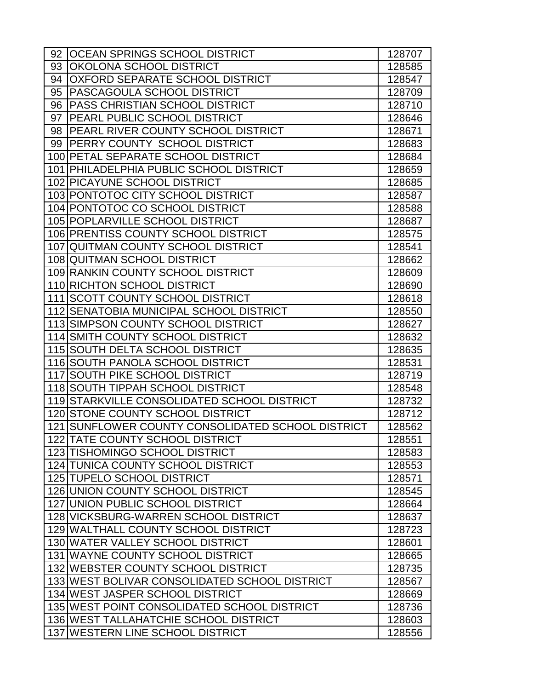|    | 92 OCEAN SPRINGS SCHOOL DISTRICT                  | 128707 |
|----|---------------------------------------------------|--------|
| 93 | <b>OKOLONA SCHOOL DISTRICT</b>                    | 128585 |
| 94 | <b>OXFORD SEPARATE SCHOOL DISTRICT</b>            | 128547 |
| 95 | PASCAGOULA SCHOOL DISTRICT                        | 128709 |
| 96 | <b>PASS CHRISTIAN SCHOOL DISTRICT</b>             | 128710 |
| 97 | <b>PEARL PUBLIC SCHOOL DISTRICT</b>               | 128646 |
| 98 | <b>PEARL RIVER COUNTY SCHOOL DISTRICT</b>         | 128671 |
| 99 | <b>IPERRY COUNTY SCHOOL DISTRICT</b>              | 128683 |
|    | 100 PETAL SEPARATE SCHOOL DISTRICT                | 128684 |
|    | 101 PHILADELPHIA PUBLIC SCHOOL DISTRICT           | 128659 |
|    | 102 PICAYUNE SCHOOL DISTRICT                      | 128685 |
|    | 103 PONTOTOC CITY SCHOOL DISTRICT                 | 128587 |
|    | 104 PONTOTOC CO SCHOOL DISTRICT                   | 128588 |
|    | 105 POPLARVILLE SCHOOL DISTRICT                   | 128687 |
|    | 106 PRENTISS COUNTY SCHOOL DISTRICT               | 128575 |
|    | 107 QUITMAN COUNTY SCHOOL DISTRICT                | 128541 |
|    | 108 QUITMAN SCHOOL DISTRICT                       | 128662 |
|    | 109 RANKIN COUNTY SCHOOL DISTRICT                 | 128609 |
|    | 110 RICHTON SCHOOL DISTRICT                       | 128690 |
|    | 111 SCOTT COUNTY SCHOOL DISTRICT                  | 128618 |
|    | 112 SENATOBIA MUNICIPAL SCHOOL DISTRICT           | 128550 |
|    | 113 SIMPSON COUNTY SCHOOL DISTRICT                | 128627 |
|    | 114 SMITH COUNTY SCHOOL DISTRICT                  | 128632 |
|    | 115 SOUTH DELTA SCHOOL DISTRICT                   | 128635 |
|    | 116 SOUTH PANOLA SCHOOL DISTRICT                  | 128531 |
|    | <b>117 SOUTH PIKE SCHOOL DISTRICT</b>             | 128719 |
|    | 118 SOUTH TIPPAH SCHOOL DISTRICT                  | 128548 |
|    | 119 STARKVILLE CONSOLIDATED SCHOOL DISTRICT       | 128732 |
|    | 120 STONE COUNTY SCHOOL DISTRICT                  | 128712 |
|    | 121 SUNFLOWER COUNTY CONSOLIDATED SCHOOL DISTRICT | 128562 |
|    | 122 TATE COUNTY SCHOOL DISTRICT                   | 128551 |
|    | 123 TISHOMINGO SCHOOL DISTRICT                    | 128583 |
|    | 124 TUNICA COUNTY SCHOOL DISTRICT                 | 128553 |
|    | 125 TUPELO SCHOOL DISTRICT                        | 128571 |
|    | 126 UNION COUNTY SCHOOL DISTRICT                  | 128545 |
|    | 127 UNION PUBLIC SCHOOL DISTRICT                  | 128664 |
|    | 128 VICKSBURG-WARREN SCHOOL DISTRICT              | 128637 |
|    | 129 WALTHALL COUNTY SCHOOL DISTRICT               | 128723 |
|    | 130 WATER VALLEY SCHOOL DISTRICT                  | 128601 |
|    | 131 WAYNE COUNTY SCHOOL DISTRICT                  | 128665 |
|    | 132 WEBSTER COUNTY SCHOOL DISTRICT                | 128735 |
|    | 133 WEST BOLIVAR CONSOLIDATED SCHOOL DISTRICT     | 128567 |
|    | 134 WEST JASPER SCHOOL DISTRICT                   | 128669 |
|    | 135 WEST POINT CONSOLIDATED SCHOOL DISTRICT       | 128736 |
|    | 136 WEST TALLAHATCHIE SCHOOL DISTRICT             | 128603 |
|    | 137 WESTERN LINE SCHOOL DISTRICT                  | 128556 |